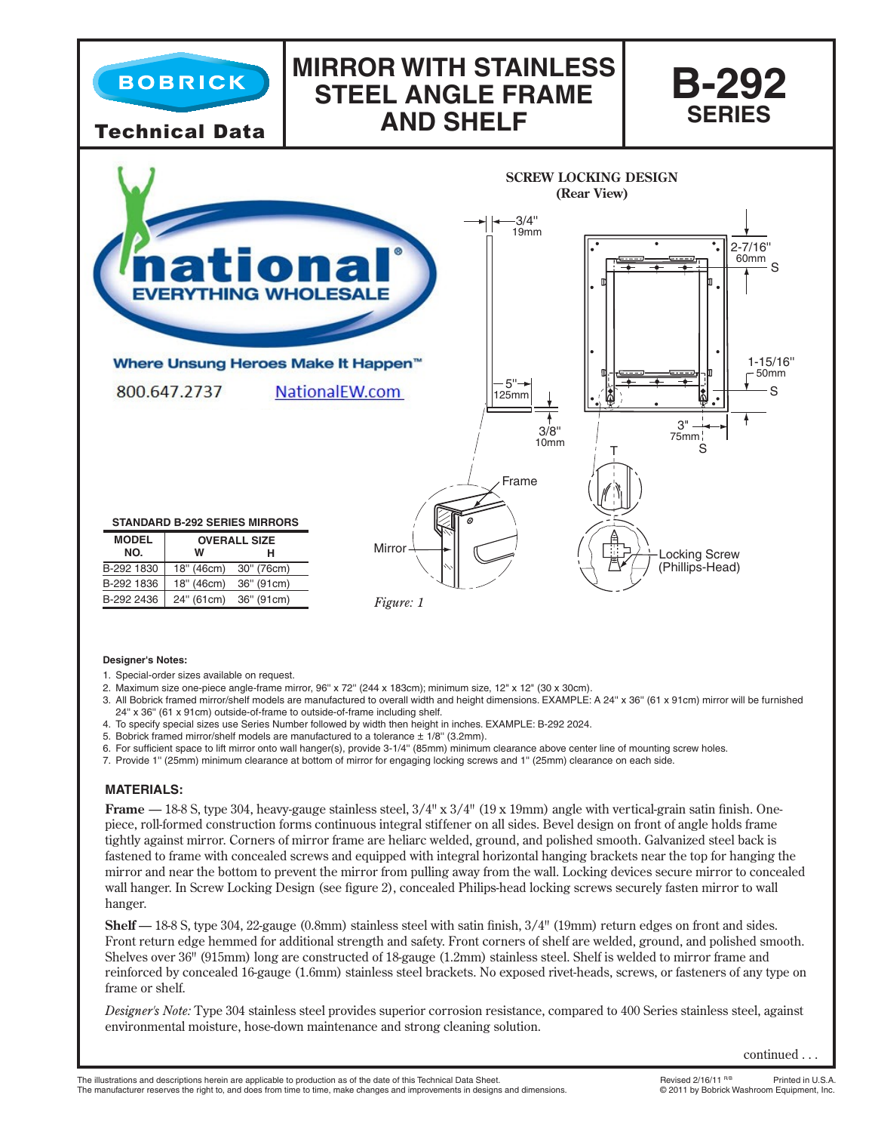

## **Designer's Notes:**

- 1. Special-order sizes available on request.
- 2. Maximum size one-piece angle-frame mirror, 96" x 72" (244 x 183cm); minimum size, 12" x 12" (30 x 30cm).
- 3. All Bobrick framed mirror/shelf models are manufactured to overall width and height dimensions. EXAMPLE: A 24'' x 36'' (61 x 91cm) mirror will be furnished 24'' x 36'' (61 x 91cm) outside-of-frame to outside-of-frame including shelf.
- 4. To specify special sizes use Series Number followed by width then height in inches. EXAMPLE: B-292 2024.
- 5. Bobrick framed mirror/shelf models are manufactured to a tolerance  $\pm$  1/8" (3.2mm).
- 6. For sufficient space to lift mirror onto wall hanger(s), provide 3-1/4'' (85mm) minimum clearance above center line of mounting screw holes.
- 7. Provide 1'' (25mm) minimum clearance at bottom of mirror for engaging locking screws and 1'' (25mm) clearance on each side.

## **MATERIALS:**

**Frame** — 18-8 S, type 304, heavy-gauge stainless steel, 3/4" x 3/4" (19 x 19mm) angle with vertical-grain satin finish. Onepiece, roll-formed construction forms continuous integral stiffener on all sides. Bevel design on front of angle holds frame tightly against mirror. Corners of mirror frame are heliarc welded, ground, and polished smooth. Galvanized steel back is fastened to frame with concealed screws and equipped with integral horizontal hanging brackets near the top for hanging the mirror and near the bottom to prevent the mirror from pulling away from the wall. Locking devices secure mirror to concealed wall hanger. In Screw Locking Design (see figure 2), concealed Philips-head locking screws securely fasten mirror to wall hanger.

**Shelf** — 18-8 S, type 304, 22-gauge (0.8mm) stainless steel with satin finish, 3/4" (19mm) return edges on front and sides. Front return edge hemmed for additional strength and safety. Front corners of shelf are welded, ground, and polished smooth. Shelves over 36" (915mm) long are constructed of 18-gauge (1.2mm) stainless steel. Shelf is welded to mirror frame and reinforced by concealed 16-gauge (1.6mm) stainless steel brackets. No exposed rivet-heads, screws, or fasteners of any type on frame or shelf.

*Designer's Note:* Type 304 stainless steel provides superior corrosion resistance, compared to 400 Series stainless steel, against environmental moisture, hose-down maintenance and strong cleaning solution.

continued . . .